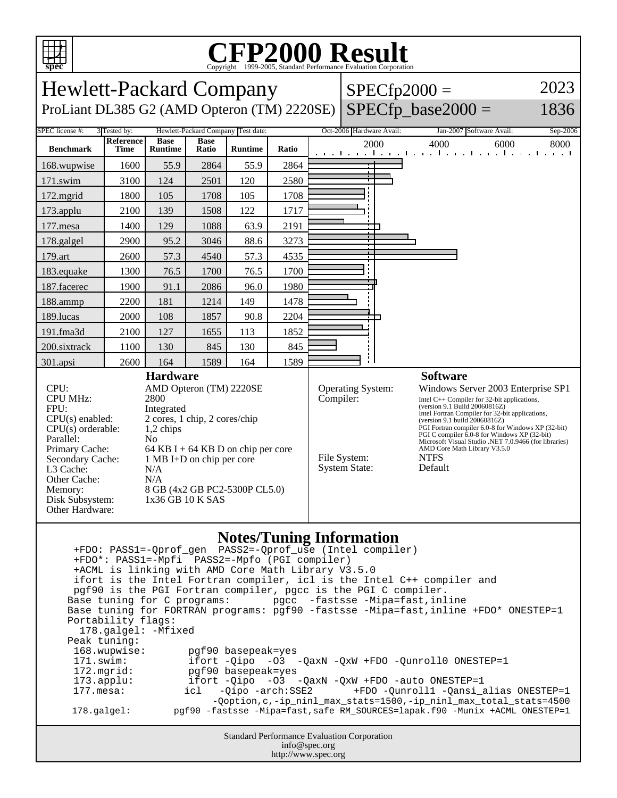

## C<sub>opyright</sub> ©1999-2005, Standard Performance Evaluation Corporation

| spec<br>Copyright @1999-2009, Standard Ferrormance Evanuation Corporation                                                                                                                                                                                                                                                                                                                                                                                                                                                                                                                                                                                                                                                                                                                                                                                                                                                                                                                                                                                              |                          |                               |                      |                                    |                                                                                                                                                                                                                                                                                                                                                                                                                                                                                                             |  |                          |                                                               |          |
|------------------------------------------------------------------------------------------------------------------------------------------------------------------------------------------------------------------------------------------------------------------------------------------------------------------------------------------------------------------------------------------------------------------------------------------------------------------------------------------------------------------------------------------------------------------------------------------------------------------------------------------------------------------------------------------------------------------------------------------------------------------------------------------------------------------------------------------------------------------------------------------------------------------------------------------------------------------------------------------------------------------------------------------------------------------------|--------------------------|-------------------------------|----------------------|------------------------------------|-------------------------------------------------------------------------------------------------------------------------------------------------------------------------------------------------------------------------------------------------------------------------------------------------------------------------------------------------------------------------------------------------------------------------------------------------------------------------------------------------------------|--|--------------------------|---------------------------------------------------------------|----------|
| 2023<br><b>Hewlett-Packard Company</b><br>$SPECfp2000 =$                                                                                                                                                                                                                                                                                                                                                                                                                                                                                                                                                                                                                                                                                                                                                                                                                                                                                                                                                                                                               |                          |                               |                      |                                    |                                                                                                                                                                                                                                                                                                                                                                                                                                                                                                             |  |                          |                                                               |          |
| ProLiant DL385 G2 (AMD Opteron (TM) 2220SE)                                                                                                                                                                                                                                                                                                                                                                                                                                                                                                                                                                                                                                                                                                                                                                                                                                                                                                                                                                                                                            |                          |                               |                      |                                    |                                                                                                                                                                                                                                                                                                                                                                                                                                                                                                             |  |                          | $SPECfp\_base2000 =$                                          | 1836     |
| SPEC license #:                                                                                                                                                                                                                                                                                                                                                                                                                                                                                                                                                                                                                                                                                                                                                                                                                                                                                                                                                                                                                                                        | 3 Tested by:             |                               |                      | Hewlett-Packard Company Test date: |                                                                                                                                                                                                                                                                                                                                                                                                                                                                                                             |  | Oct-2006 Hardware Avail: | Jan-2007 Software Avail:                                      | Sep-2006 |
| <b>Benchmark</b>                                                                                                                                                                                                                                                                                                                                                                                                                                                                                                                                                                                                                                                                                                                                                                                                                                                                                                                                                                                                                                                       | <b>Reference</b><br>Time | <b>Base</b><br><b>Runtime</b> | <b>Base</b><br>Ratio | <b>Runtime</b>                     | Ratio                                                                                                                                                                                                                                                                                                                                                                                                                                                                                                       |  | 2000                     | 4000<br>6000<br>المتواجب والمتواطن والمتواطن والمتواطن والمتو | 8000     |
| 168.wupwise                                                                                                                                                                                                                                                                                                                                                                                                                                                                                                                                                                                                                                                                                                                                                                                                                                                                                                                                                                                                                                                            | 1600                     | 55.9                          | 2864                 | 55.9                               | 2864                                                                                                                                                                                                                                                                                                                                                                                                                                                                                                        |  |                          |                                                               |          |
| 171.swim                                                                                                                                                                                                                                                                                                                                                                                                                                                                                                                                                                                                                                                                                                                                                                                                                                                                                                                                                                                                                                                               | 3100                     | 124                           | 2501                 | 120                                | 2580                                                                                                                                                                                                                                                                                                                                                                                                                                                                                                        |  |                          |                                                               |          |
| 172.mgrid                                                                                                                                                                                                                                                                                                                                                                                                                                                                                                                                                                                                                                                                                                                                                                                                                                                                                                                                                                                                                                                              | 1800                     | 105                           | 1708                 | 105                                | 1708                                                                                                                                                                                                                                                                                                                                                                                                                                                                                                        |  |                          |                                                               |          |
| 173.applu                                                                                                                                                                                                                                                                                                                                                                                                                                                                                                                                                                                                                                                                                                                                                                                                                                                                                                                                                                                                                                                              | 2100                     | 139                           | 1508                 | 122                                | 1717                                                                                                                                                                                                                                                                                                                                                                                                                                                                                                        |  |                          |                                                               |          |
| 177.mesa                                                                                                                                                                                                                                                                                                                                                                                                                                                                                                                                                                                                                                                                                                                                                                                                                                                                                                                                                                                                                                                               | 1400                     | 129                           | 1088                 | 63.9                               | 2191                                                                                                                                                                                                                                                                                                                                                                                                                                                                                                        |  |                          |                                                               |          |
| 178.galgel                                                                                                                                                                                                                                                                                                                                                                                                                                                                                                                                                                                                                                                                                                                                                                                                                                                                                                                                                                                                                                                             | 2900                     | 95.2                          | 3046                 | 88.6                               | 3273                                                                                                                                                                                                                                                                                                                                                                                                                                                                                                        |  |                          |                                                               |          |
| 179.art                                                                                                                                                                                                                                                                                                                                                                                                                                                                                                                                                                                                                                                                                                                                                                                                                                                                                                                                                                                                                                                                | 2600                     | 57.3                          | 4540                 | 57.3                               | 4535                                                                                                                                                                                                                                                                                                                                                                                                                                                                                                        |  |                          |                                                               |          |
| 183.equake                                                                                                                                                                                                                                                                                                                                                                                                                                                                                                                                                                                                                                                                                                                                                                                                                                                                                                                                                                                                                                                             | 1300                     | 76.5                          | 1700                 | 76.5                               | 1700                                                                                                                                                                                                                                                                                                                                                                                                                                                                                                        |  |                          |                                                               |          |
| 187.facerec                                                                                                                                                                                                                                                                                                                                                                                                                                                                                                                                                                                                                                                                                                                                                                                                                                                                                                                                                                                                                                                            | 1900                     | 91.1                          | 2086                 | 96.0                               | 1980                                                                                                                                                                                                                                                                                                                                                                                                                                                                                                        |  |                          |                                                               |          |
| 188.ammp                                                                                                                                                                                                                                                                                                                                                                                                                                                                                                                                                                                                                                                                                                                                                                                                                                                                                                                                                                                                                                                               | 2200                     | 181                           | 1214                 | 149                                | 1478                                                                                                                                                                                                                                                                                                                                                                                                                                                                                                        |  |                          |                                                               |          |
| 189.lucas                                                                                                                                                                                                                                                                                                                                                                                                                                                                                                                                                                                                                                                                                                                                                                                                                                                                                                                                                                                                                                                              | 2000                     | 108                           | 1857                 | 90.8                               | 2204                                                                                                                                                                                                                                                                                                                                                                                                                                                                                                        |  |                          |                                                               |          |
| 191.fma3d                                                                                                                                                                                                                                                                                                                                                                                                                                                                                                                                                                                                                                                                                                                                                                                                                                                                                                                                                                                                                                                              | 2100                     | 127                           | 1655                 | 113                                | 1852                                                                                                                                                                                                                                                                                                                                                                                                                                                                                                        |  |                          |                                                               |          |
| 200.sixtrack                                                                                                                                                                                                                                                                                                                                                                                                                                                                                                                                                                                                                                                                                                                                                                                                                                                                                                                                                                                                                                                           | 1100                     | 130                           | 845                  | 130                                | 845                                                                                                                                                                                                                                                                                                                                                                                                                                                                                                         |  |                          |                                                               |          |
| 301.apsi                                                                                                                                                                                                                                                                                                                                                                                                                                                                                                                                                                                                                                                                                                                                                                                                                                                                                                                                                                                                                                                               | 2600                     | 164                           | 1589                 | 164                                | 1589                                                                                                                                                                                                                                                                                                                                                                                                                                                                                                        |  |                          |                                                               |          |
| CPU:<br>AMD Opteron (TM) 2220SE<br><b>CPU MHz:</b><br>2800<br>FPU:<br>Integrated<br>2 cores, 1 chip, 2 cores/chip<br>$CPU(s)$ enabled:<br>$CPU(s)$ orderable:<br>1,2 chips<br>Parallel:<br>N <sub>0</sub><br>Primary Cache:<br>64 KB I + 64 KB D on chip per core<br>1 MB I+D on chip per core<br>Secondary Cache:<br>L3 Cache:<br>N/A<br>N/A<br>Other Cache:<br>8 GB (4x2 GB PC2-5300P CL5.0)<br>Memory:<br>Disk Subsystem:<br>1x36 GB 10 K SAS<br>Other Hardware:                                                                                                                                                                                                                                                                                                                                                                                                                                                                                                                                                                                                    |                          |                               |                      |                                    | Operating System:<br>Windows Server 2003 Enterprise SP1<br>Compiler:<br>Intel $C++$ Compiler for 32-bit applications,<br>(version 9.1 Build 20060816Z)<br>Intel Fortran Compiler for 32-bit applications,<br>(version 9.1 build 20060816Z)<br>PGI Fortran compiler 6.0-8 for Windows XP (32-bit)<br>PGI C compiler 6.0-8 for Windows XP (32-bit)<br>Microsoft Visual Studio .NET 7.0.9466 (for libraries)<br>AMD Core Math Library V3.5.0<br>File System:<br><b>NTFS</b><br><b>System State:</b><br>Default |  |                          |                                                               |          |
| <b>Notes/Tuning Information</b><br>+FDO: PASS1=-Qprof_gen    PASS2=-Qprof_use (Intel compiler)<br>+FDO*: PASS1=-Mpfi PASS2=-Mpfo (PGI compiler)<br>+ACML is linking with AMD Core Math Library V3.5.0<br>ifort is the Intel Fortran compiler, icl is the Intel C++ compiler and<br>pqf90 is the PGI Fortran compiler, pqcc is the PGI C compiler.<br>Base tuning for C programs:<br>pgcc -fastsse -Mipa=fast,inline<br>Base tuning for FORTRAN programs: pgf90 -fastsse -Mipa=fast, inline +FDO* ONESTEP=1<br>Portability flags:<br>178.galgel: - Mfixed<br>Peak tuning:<br>168.wupwise:<br>pgf90 basepeak=yes<br>171.swim:<br>ifort $-Qipo -O3 -QaxN -QxW + FDO -Qunroll0 ONE STEP=1$<br>172.mgrid:<br>pgf90 basepeak=yes<br>ifort -Qipo -03 -QaxN -QxW +FDO -auto ONESTEP=1<br>$173.\text{applu}:$<br>-Qipo -arch:SSE2<br>+FDO -Qunroll1 -Qansi_alias ONESTEP=1<br>$177.\mathtt{mesa}$ :<br>icl<br>-Qoption, c, -ip_ninl_max_stats=1500, -ip_ninl_max_total_stats=4500<br>pgf90 -fastsse -Mipa=fast, safe RM_SOURCES=lapak.f90 -Munix +ACML ONESTEP=1<br>178.galgel: |                          |                               |                      |                                    |                                                                                                                                                                                                                                                                                                                                                                                                                                                                                                             |  |                          |                                                               |          |
| <b>Standard Performance Evaluation Corporation</b><br>info@spec.org                                                                                                                                                                                                                                                                                                                                                                                                                                                                                                                                                                                                                                                                                                                                                                                                                                                                                                                                                                                                    |                          |                               |                      |                                    |                                                                                                                                                                                                                                                                                                                                                                                                                                                                                                             |  |                          |                                                               |          |

http://www.spec.org